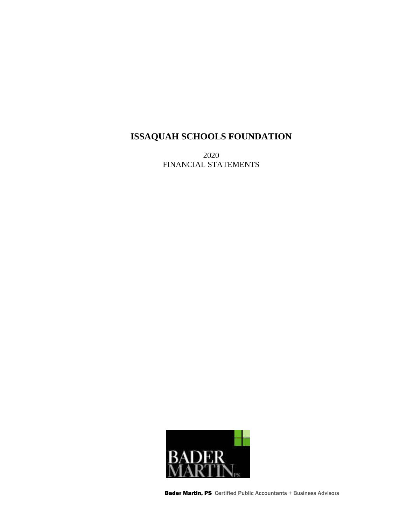2020 FINANCIAL STATEMENTS



Bader Martin, PS Certified Public Accountants + Business Advisors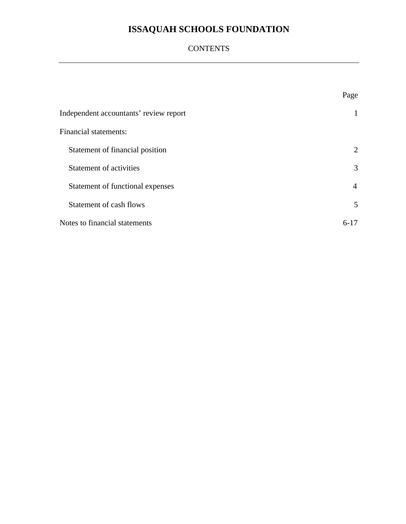## **CONTENTS**

|                                        | Page           |
|----------------------------------------|----------------|
| Independent accountants' review report |                |
| <b>Financial statements:</b>           |                |
| Statement of financial position        | 2              |
| <b>Statement of activities</b>         | 3              |
| Statement of functional expenses       | $\overline{4}$ |
| Statement of cash flows                | 5              |
| Notes to financial statements          | $6-17$         |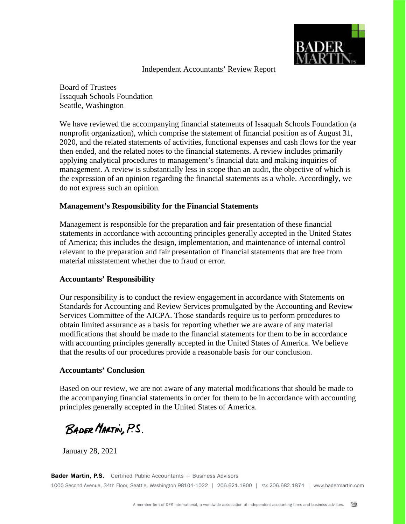

Independent Accountants' Review Report

Board of Trustees Issaquah Schools Foundation Seattle, Washington

We have reviewed the accompanying financial statements of Issaquah Schools Foundation (a nonprofit organization), which comprise the statement of financial position as of August 31, 2020, and the related statements of activities, functional expenses and cash flows for the year then ended, and the related notes to the financial statements. A review includes primarily applying analytical procedures to management's financial data and making inquiries of management. A review is substantially less in scope than an audit, the objective of which is the expression of an opinion regarding the financial statements as a whole. Accordingly, we do not express such an opinion.

#### **Management's Responsibility for the Financial Statements**

Management is responsible for the preparation and fair presentation of these financial statements in accordance with accounting principles generally accepted in the United States of America; this includes the design, implementation, and maintenance of internal control relevant to the preparation and fair presentation of financial statements that are free from material misstatement whether due to fraud or error.

#### **Accountants' Responsibility**

Our responsibility is to conduct the review engagement in accordance with Statements on Standards for Accounting and Review Services promulgated by the Accounting and Review Services Committee of the AICPA. Those standards require us to perform procedures to obtain limited assurance as a basis for reporting whether we are aware of any material modifications that should be made to the financial statements for them to be in accordance with accounting principles generally accepted in the United States of America. We believe that the results of our procedures provide a reasonable basis for our conclusion.

#### **Accountants' Conclusion**

Based on our review, we are not aware of any material modifications that should be made to the accompanying financial statements in order for them to be in accordance with accounting principles generally accepted in the United States of America.

BADER MARTIN, P.S.

January 28, 2021

**Bader Martin, P.S.** Certified Public Accountants + Business Advisors 1000 Second Avenue, 34th Floor, Seattle, Washington 98104-1022 | 206.621.1900 | FAX 206.682.1874 | www.badermartin.com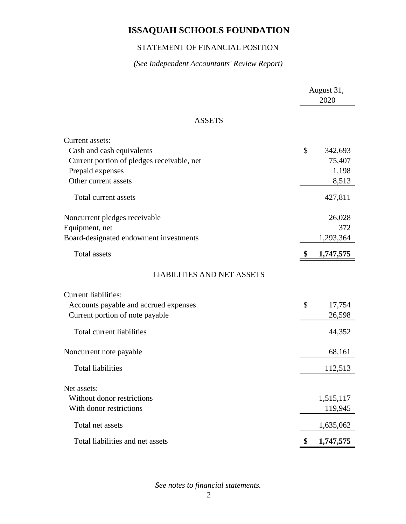## STATEMENT OF FINANCIAL POSITION

*(See Independent Accountants' Review Report)*

|                                                                                                                                        |               | August 31,<br>2020                  |
|----------------------------------------------------------------------------------------------------------------------------------------|---------------|-------------------------------------|
| <b>ASSETS</b>                                                                                                                          |               |                                     |
| Current assets:<br>Cash and cash equivalents<br>Current portion of pledges receivable, net<br>Prepaid expenses<br>Other current assets | $\mathcal{S}$ | 342,693<br>75,407<br>1,198<br>8,513 |
| Total current assets                                                                                                                   |               | 427,811                             |
| Noncurrent pledges receivable<br>Equipment, net<br>Board-designated endowment investments                                              |               | 26,028<br>372<br>1,293,364          |
| <b>Total assets</b>                                                                                                                    | \$            | 1,747,575                           |
| <b>LIABILITIES AND NET ASSETS</b>                                                                                                      |               |                                     |
| <b>Current liabilities:</b><br>Accounts payable and accrued expenses<br>Current portion of note payable                                | \$            | 17,754<br>26,598                    |
| Total current liabilities                                                                                                              |               | 44,352                              |
| Noncurrent note payable                                                                                                                |               | 68,161                              |
| <b>Total liabilities</b>                                                                                                               |               | 112,513                             |
| Net assets:<br>Without donor restrictions<br>With donor restrictions<br>Total net assets                                               |               | 1,515,117<br>119,945<br>1,635,062   |
| Total liabilities and net assets                                                                                                       | \$            | 1,747,575                           |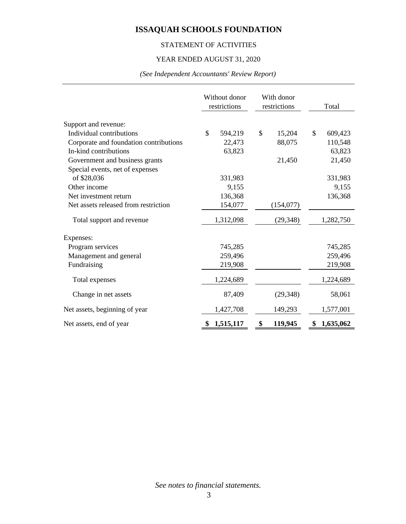### STATEMENT OF ACTIVITIES

#### YEAR ENDED AUGUST 31, 2020

## *(See Independent Accountants' Review Report)*

|                                                                 | Without donor<br>restrictions | With donor<br>restrictions | Total           |
|-----------------------------------------------------------------|-------------------------------|----------------------------|-----------------|
| Support and revenue:                                            |                               |                            |                 |
| Individual contributions                                        | \$<br>594,219                 | \$<br>15,204               | \$<br>609,423   |
|                                                                 | 22,473                        | 88,075                     | 110,548         |
| Corporate and foundation contributions<br>In-kind contributions |                               |                            |                 |
|                                                                 | 63,823                        |                            | 63,823          |
| Government and business grants                                  |                               | 21,450                     | 21,450          |
| Special events, net of expenses                                 |                               |                            |                 |
| of \$28,036                                                     | 331,983                       |                            | 331,983         |
| Other income                                                    | 9,155                         |                            | 9,155           |
| Net investment return                                           | 136,368                       |                            | 136,368         |
| Net assets released from restriction                            | 154,077                       | (154, 077)                 |                 |
| Total support and revenue                                       | 1,312,098                     | (29, 348)                  | 1,282,750       |
| Expenses:                                                       |                               |                            |                 |
| Program services                                                | 745,285                       |                            | 745,285         |
| Management and general                                          | 259,496                       |                            | 259,496         |
| Fundraising                                                     | 219,908                       |                            | 219,908         |
| Total expenses                                                  | 1,224,689                     |                            | 1,224,689       |
| Change in net assets                                            | 87,409                        | (29, 348)                  | 58,061          |
| Net assets, beginning of year                                   | 1,427,708                     | 149,293                    | 1,577,001       |
| Net assets, end of year                                         | 1,515,117                     | \$<br>119,945              | \$<br>1,635,062 |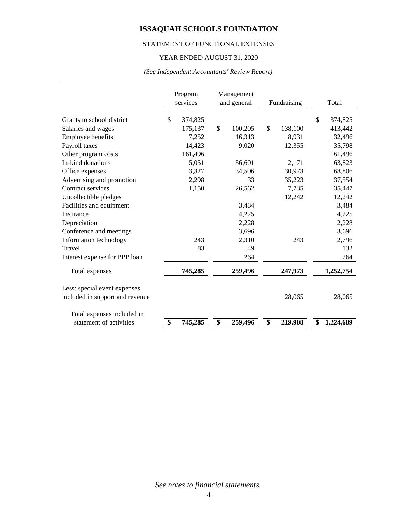#### STATEMENT OF FUNCTIONAL EXPENSES

#### YEAR ENDED AUGUST 31, 2020

#### *(See Independent Accountants' Review Report)*

|                                 | Program<br>services | Management<br>and general | Fundraising   | Total           |
|---------------------------------|---------------------|---------------------------|---------------|-----------------|
| Grants to school district       | \$<br>374,825       |                           |               | \$<br>374,825   |
| Salaries and wages              | 175,137             | \$<br>100,205             | \$<br>138,100 | 413,442         |
| Employee benefits               | 7,252               | 16,313                    | 8,931         | 32,496          |
| Payroll taxes                   | 14,423              | 9,020                     | 12,355        | 35,798          |
| Other program costs             | 161,496             |                           |               | 161,496         |
| In-kind donations               | 5,051               | 56,601                    | 2,171         | 63,823          |
| Office expenses                 | 3,327               | 34,506                    | 30,973        | 68,806          |
| Advertising and promotion       | 2,298               | 33                        | 35,223        | 37,554          |
| Contract services               | 1,150               | 26,562                    | 7,735         | 35,447          |
| Uncollectible pledges           |                     |                           | 12,242        | 12,242          |
| Facilities and equipment        |                     | 3,484                     |               | 3,484           |
| Insurance                       |                     | 4,225                     |               | 4,225           |
| Depreciation                    |                     | 2,228                     |               | 2,228           |
| Conference and meetings         |                     | 3,696                     |               | 3,696           |
| Information technology          | 243                 | 2,310                     | 243           | 2,796           |
| Travel                          | 83                  | 49                        |               | 132             |
| Interest expense for PPP loan   |                     | 264                       |               | 264             |
|                                 |                     |                           |               |                 |
| Total expenses                  | 745,285             | 259,496                   | 247,973       | 1,252,754       |
| Less: special event expenses    |                     |                           |               |                 |
| included in support and revenue |                     |                           | 28,065        | 28,065          |
| Total expenses included in      |                     |                           |               |                 |
| statement of activities         | \$<br>745,285       | \$<br>259,496             | \$<br>219,908 | \$<br>1,224,689 |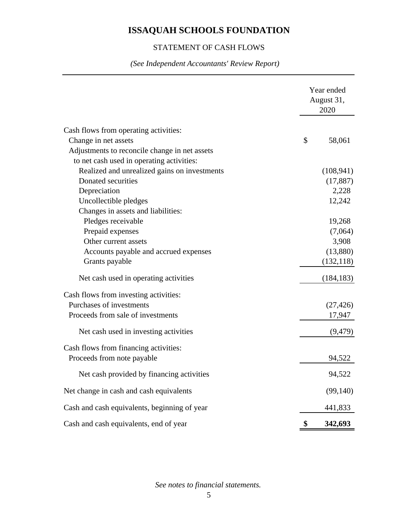## STATEMENT OF CASH FLOWS

## *(See Independent Accountants' Review Report)*

|                                                                    | Year ended<br>August 31,<br>2020 |
|--------------------------------------------------------------------|----------------------------------|
|                                                                    |                                  |
| Cash flows from operating activities:                              |                                  |
| Change in net assets                                               | \$<br>58,061                     |
| Adjustments to reconcile change in net assets                      |                                  |
| to net cash used in operating activities:                          |                                  |
| Realized and unrealized gains on investments<br>Donated securities | (108, 941)                       |
| Depreciation                                                       | (17, 887)<br>2,228               |
| Uncollectible pledges                                              | 12,242                           |
| Changes in assets and liabilities:                                 |                                  |
| Pledges receivable                                                 | 19,268                           |
| Prepaid expenses                                                   | (7,064)                          |
| Other current assets                                               | 3,908                            |
| Accounts payable and accrued expenses                              | (13,880)                         |
| Grants payable                                                     | (132, 118)                       |
| Net cash used in operating activities                              | (184, 183)                       |
| Cash flows from investing activities:                              |                                  |
| Purchases of investments                                           | (27, 426)                        |
| Proceeds from sale of investments                                  | 17,947                           |
| Net cash used in investing activities                              | (9, 479)                         |
| Cash flows from financing activities:                              |                                  |
| Proceeds from note payable                                         | 94,522                           |
| Net cash provided by financing activities                          | 94,522                           |
| Net change in cash and cash equivalents                            | (99, 140)                        |
| Cash and cash equivalents, beginning of year                       | 441,833                          |
| Cash and cash equivalents, end of year                             | \$<br>342,693                    |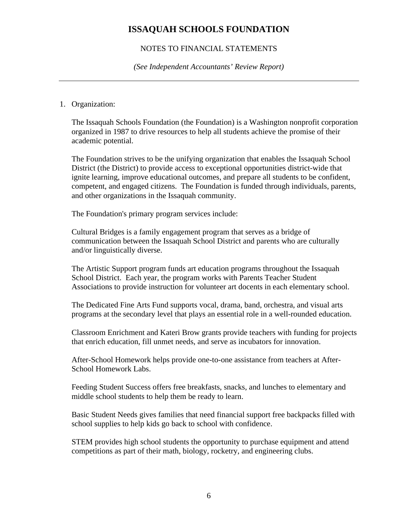## NOTES TO FINANCIAL STATEMENTS

*(See Independent Accountants' Review Report)* 

#### 1. Organization:

The Issaquah Schools Foundation (the Foundation) is a Washington nonprofit corporation organized in 1987 to drive resources to help all students achieve the promise of their academic potential.

The Foundation strives to be the unifying organization that enables the Issaquah School District (the District) to provide access to exceptional opportunities district-wide that ignite learning, improve educational outcomes, and prepare all students to be confident, competent, and engaged citizens. The Foundation is funded through individuals, parents, and other organizations in the Issaquah community.

The Foundation's primary program services include:

Cultural Bridges is a family engagement program that serves as a bridge of communication between the Issaquah School District and parents who are culturally and/or linguistically diverse.

The Artistic Support program funds art education programs throughout the Issaquah School District. Each year, the program works with Parents Teacher Student Associations to provide instruction for volunteer art docents in each elementary school.

The Dedicated Fine Arts Fund supports vocal, drama, band, orchestra, and visual arts programs at the secondary level that plays an essential role in a well-rounded education.

Classroom Enrichment and Kateri Brow grants provide teachers with funding for projects that enrich education, fill unmet needs, and serve as incubators for innovation.

After-School Homework helps provide one-to-one assistance from teachers at After-School Homework Labs.

Feeding Student Success offers free breakfasts, snacks, and lunches to elementary and middle school students to help them be ready to learn.

Basic Student Needs gives families that need financial support free backpacks filled with school supplies to help kids go back to school with confidence.

STEM provides high school students the opportunity to purchase equipment and attend competitions as part of their math, biology, rocketry, and engineering clubs.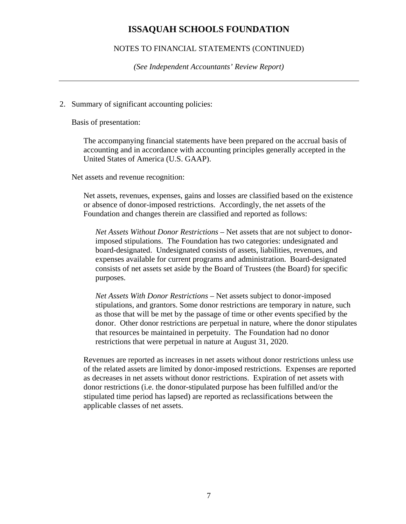#### NOTES TO FINANCIAL STATEMENTS (CONTINUED)

*(See Independent Accountants' Review Report)* 

2. Summary of significant accounting policies:

Basis of presentation:

The accompanying financial statements have been prepared on the accrual basis of accounting and in accordance with accounting principles generally accepted in the United States of America (U.S. GAAP).

Net assets and revenue recognition:

Net assets, revenues, expenses, gains and losses are classified based on the existence or absence of donor-imposed restrictions. Accordingly, the net assets of the Foundation and changes therein are classified and reported as follows:

*Net Assets Without Donor Restrictions* – Net assets that are not subject to donorimposed stipulations. The Foundation has two categories: undesignated and board-designated. Undesignated consists of assets, liabilities, revenues, and expenses available for current programs and administration. Board-designated consists of net assets set aside by the Board of Trustees (the Board) for specific purposes.

*Net Assets With Donor Restrictions* – Net assets subject to donor-imposed stipulations, and grantors. Some donor restrictions are temporary in nature, such as those that will be met by the passage of time or other events specified by the donor. Other donor restrictions are perpetual in nature, where the donor stipulates that resources be maintained in perpetuity. The Foundation had no donor restrictions that were perpetual in nature at August 31, 2020.

Revenues are reported as increases in net assets without donor restrictions unless use of the related assets are limited by donor-imposed restrictions. Expenses are reported as decreases in net assets without donor restrictions. Expiration of net assets with donor restrictions (i.e. the donor-stipulated purpose has been fulfilled and/or the stipulated time period has lapsed) are reported as reclassifications between the applicable classes of net assets.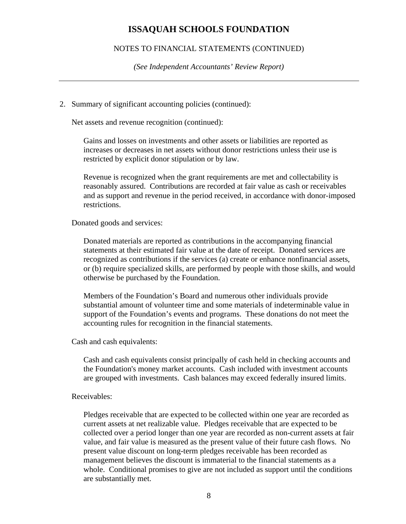#### NOTES TO FINANCIAL STATEMENTS (CONTINUED)

*(See Independent Accountants' Review Report)* 

2. Summary of significant accounting policies (continued):

Net assets and revenue recognition (continued):

Gains and losses on investments and other assets or liabilities are reported as increases or decreases in net assets without donor restrictions unless their use is restricted by explicit donor stipulation or by law.

Revenue is recognized when the grant requirements are met and collectability is reasonably assured. Contributions are recorded at fair value as cash or receivables and as support and revenue in the period received, in accordance with donor-imposed restrictions.

Donated goods and services:

Donated materials are reported as contributions in the accompanying financial statements at their estimated fair value at the date of receipt. Donated services are recognized as contributions if the services (a) create or enhance nonfinancial assets, or (b) require specialized skills, are performed by people with those skills, and would otherwise be purchased by the Foundation.

Members of the Foundation's Board and numerous other individuals provide substantial amount of volunteer time and some materials of indeterminable value in support of the Foundation's events and programs. These donations do not meet the accounting rules for recognition in the financial statements.

Cash and cash equivalents:

Cash and cash equivalents consist principally of cash held in checking accounts and the Foundation's money market accounts. Cash included with investment accounts are grouped with investments. Cash balances may exceed federally insured limits.

#### Receivables:

Pledges receivable that are expected to be collected within one year are recorded as current assets at net realizable value. Pledges receivable that are expected to be collected over a period longer than one year are recorded as non-current assets at fair value, and fair value is measured as the present value of their future cash flows. No present value discount on long-term pledges receivable has been recorded as management believes the discount is immaterial to the financial statements as a whole. Conditional promises to give are not included as support until the conditions are substantially met.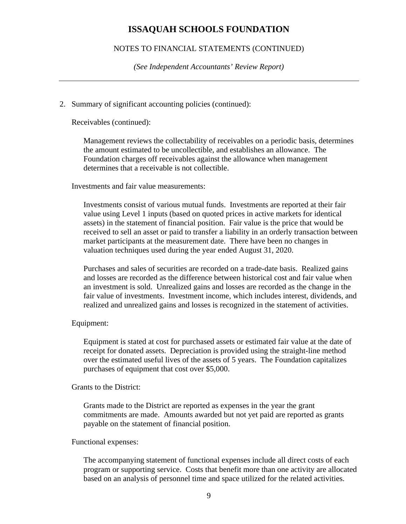#### NOTES TO FINANCIAL STATEMENTS (CONTINUED)

*(See Independent Accountants' Review Report)* 

2. Summary of significant accounting policies (continued):

Receivables (continued):

Management reviews the collectability of receivables on a periodic basis, determines the amount estimated to be uncollectible, and establishes an allowance. The Foundation charges off receivables against the allowance when management determines that a receivable is not collectible.

Investments and fair value measurements:

Investments consist of various mutual funds. Investments are reported at their fair value using Level 1 inputs (based on quoted prices in active markets for identical assets) in the statement of financial position. Fair value is the price that would be received to sell an asset or paid to transfer a liability in an orderly transaction between market participants at the measurement date. There have been no changes in valuation techniques used during the year ended August 31, 2020.

Purchases and sales of securities are recorded on a trade-date basis. Realized gains and losses are recorded as the difference between historical cost and fair value when an investment is sold. Unrealized gains and losses are recorded as the change in the fair value of investments. Investment income, which includes interest, dividends, and realized and unrealized gains and losses is recognized in the statement of activities.

Equipment:

Equipment is stated at cost for purchased assets or estimated fair value at the date of receipt for donated assets. Depreciation is provided using the straight-line method over the estimated useful lives of the assets of 5 years. The Foundation capitalizes purchases of equipment that cost over \$5,000.

Grants to the District:

Grants made to the District are reported as expenses in the year the grant commitments are made. Amounts awarded but not yet paid are reported as grants payable on the statement of financial position.

#### Functional expenses:

The accompanying statement of functional expenses include all direct costs of each program or supporting service. Costs that benefit more than one activity are allocated based on an analysis of personnel time and space utilized for the related activities.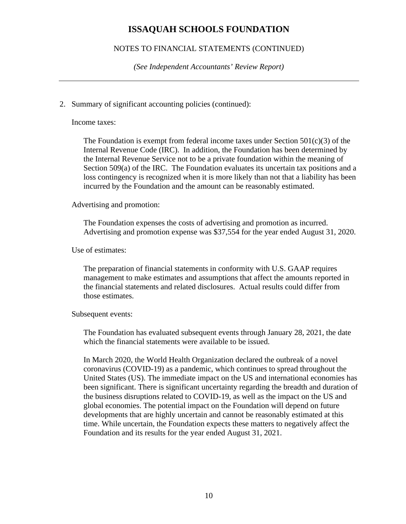#### NOTES TO FINANCIAL STATEMENTS (CONTINUED)

*(See Independent Accountants' Review Report)* 

2. Summary of significant accounting policies (continued):

Income taxes:

The Foundation is exempt from federal income taxes under Section  $501(c)(3)$  of the Internal Revenue Code (IRC). In addition, the Foundation has been determined by the Internal Revenue Service not to be a private foundation within the meaning of Section 509(a) of the IRC. The Foundation evaluates its uncertain tax positions and a loss contingency is recognized when it is more likely than not that a liability has been incurred by the Foundation and the amount can be reasonably estimated.

Advertising and promotion:

The Foundation expenses the costs of advertising and promotion as incurred. Advertising and promotion expense was \$37,554 for the year ended August 31, 2020.

Use of estimates:

The preparation of financial statements in conformity with U.S. GAAP requires management to make estimates and assumptions that affect the amounts reported in the financial statements and related disclosures. Actual results could differ from those estimates.

Subsequent events:

The Foundation has evaluated subsequent events through January 28, 2021, the date which the financial statements were available to be issued.

In March 2020, the World Health Organization declared the outbreak of a novel coronavirus (COVID-19) as a pandemic, which continues to spread throughout the United States (US). The immediate impact on the US and international economies has been significant. There is significant uncertainty regarding the breadth and duration of the business disruptions related to COVID-19, as well as the impact on the US and global economies. The potential impact on the Foundation will depend on future developments that are highly uncertain and cannot be reasonably estimated at this time. While uncertain, the Foundation expects these matters to negatively affect the Foundation and its results for the year ended August 31, 2021.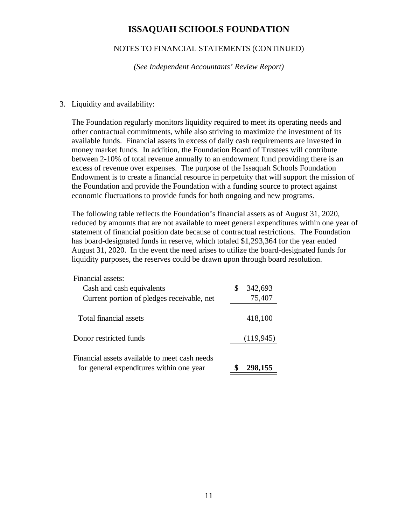#### NOTES TO FINANCIAL STATEMENTS (CONTINUED)

*(See Independent Accountants' Review Report)* 

#### 3. Liquidity and availability:

The Foundation regularly monitors liquidity required to meet its operating needs and other contractual commitments, while also striving to maximize the investment of its available funds. Financial assets in excess of daily cash requirements are invested in money market funds. In addition, the Foundation Board of Trustees will contribute between 2-10% of total revenue annually to an endowment fund providing there is an excess of revenue over expenses. The purpose of the Issaquah Schools Foundation Endowment is to create a financial resource in perpetuity that will support the mission of the Foundation and provide the Foundation with a funding source to protect against economic fluctuations to provide funds for both ongoing and new programs.

The following table reflects the Foundation's financial assets as of August 31, 2020, reduced by amounts that are not available to meet general expenditures within one year of statement of financial position date because of contractual restrictions. The Foundation has board-designated funds in reserve, which totaled \$1,293,364 for the year ended August 31, 2020. In the event the need arises to utilize the board-designated funds for liquidity purposes, the reserves could be drawn upon through board resolution.

| Financial assets:                                                                         |   |            |
|-------------------------------------------------------------------------------------------|---|------------|
| Cash and cash equivalents                                                                 | S | 342,693    |
| Current portion of pledges receivable, net                                                |   | 75,407     |
| Total financial assets                                                                    |   | 418,100    |
| Donor restricted funds                                                                    |   | (119, 945) |
| Financial assets available to meet cash needs<br>for general expenditures within one year |   | 298,155    |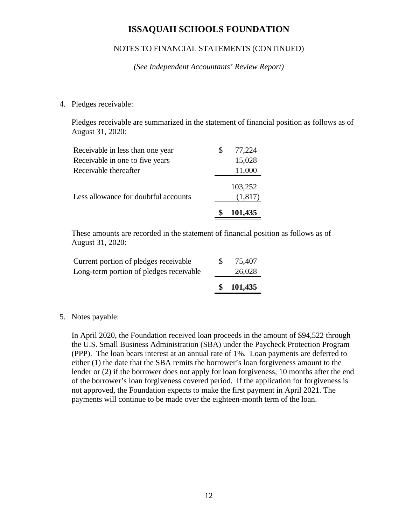#### NOTES TO FINANCIAL STATEMENTS (CONTINUED)

*(See Independent Accountants' Review Report)* 

4. Pledges receivable:

Pledges receivable are summarized in the statement of financial position as follows as of August 31, 2020:

|                                      | 101,435            |
|--------------------------------------|--------------------|
| Less allowance for doubtful accounts | 103,252<br>(1,817) |
| Receivable thereafter                | 11,000             |
| Receivable in one to five years      | 15,028             |
| Receivable in less than one year     | 77,224             |

These amounts are recorded in the statement of financial position as follows as of August 31, 2020:

|                                         |     | \$101,435 |
|-----------------------------------------|-----|-----------|
| Long-term portion of pledges receivable |     | 26,028    |
| Current portion of pledges receivable   | -SS | 75,407    |

5. Notes payable:

 In April 2020, the Foundation received loan proceeds in the amount of \$94,522 through the U.S. Small Business Administration (SBA) under the Paycheck Protection Program (PPP). The loan bears interest at an annual rate of 1%. Loan payments are deferred to either (1) the date that the SBA remits the borrower's loan forgiveness amount to the lender or (2) if the borrower does not apply for loan forgiveness, 10 months after the end of the borrower's loan forgiveness covered period. If the application for forgiveness is not approved, the Foundation expects to make the first payment in April 2021. The payments will continue to be made over the eighteen-month term of the loan.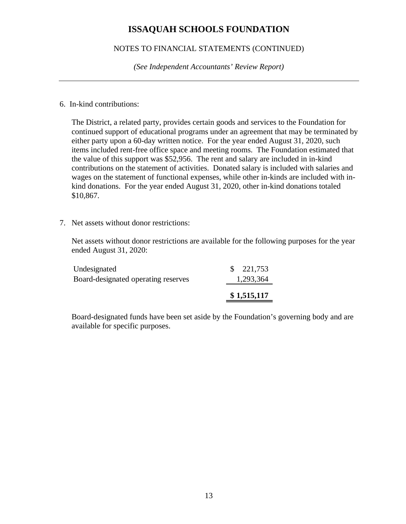#### NOTES TO FINANCIAL STATEMENTS (CONTINUED)

*(See Independent Accountants' Review Report)* 

6. In-kind contributions:

The District, a related party, provides certain goods and services to the Foundation for continued support of educational programs under an agreement that may be terminated by either party upon a 60-day written notice. For the year ended August 31, 2020, such items included rent-free office space and meeting rooms. The Foundation estimated that the value of this support was \$52,956. The rent and salary are included in in-kind contributions on the statement of activities. Donated salary is included with salaries and wages on the statement of functional expenses, while other in-kinds are included with inkind donations. For the year ended August 31, 2020, other in-kind donations totaled \$10,867.

7. Net assets without donor restrictions:

Net assets without donor restrictions are available for the following purposes for the year ended August 31, 2020:

| 1,293,364<br>Board-designated operating reserves |  |
|--------------------------------------------------|--|
| \$221,753<br>Undesignated                        |  |

Board-designated funds have been set aside by the Foundation's governing body and are available for specific purposes.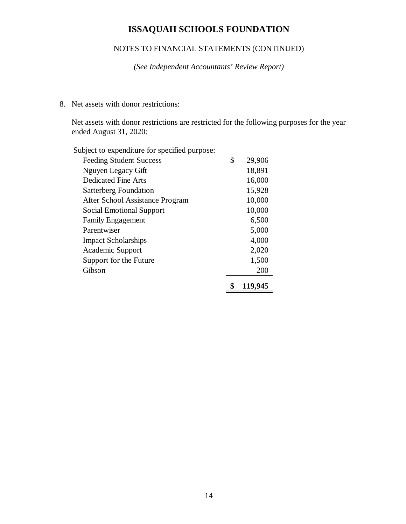## NOTES TO FINANCIAL STATEMENTS (CONTINUED)

*(See Independent Accountants' Review Report)* 

8. Net assets with donor restrictions:

Net assets with donor restrictions are restricted for the following purposes for the year ended August 31, 2020:

|                                               | 119,945      |
|-----------------------------------------------|--------------|
| Gibson                                        | 200          |
| Support for the Future                        | 1,500        |
| Academic Support                              | 2,020        |
| <b>Impact Scholarships</b>                    | 4,000        |
| Parentwiser                                   | 5,000        |
| <b>Family Engagement</b>                      | 6,500        |
| <b>Social Emotional Support</b>               | 10,000       |
| After School Assistance Program               | 10,000       |
| Satterberg Foundation                         | 15,928       |
| Dedicated Fine Arts                           | 16,000       |
| Nguyen Legacy Gift                            | 18,891       |
| <b>Feeding Student Success</b>                | \$<br>29,906 |
| Subject to expenditure for specified purpose: |              |
|                                               |              |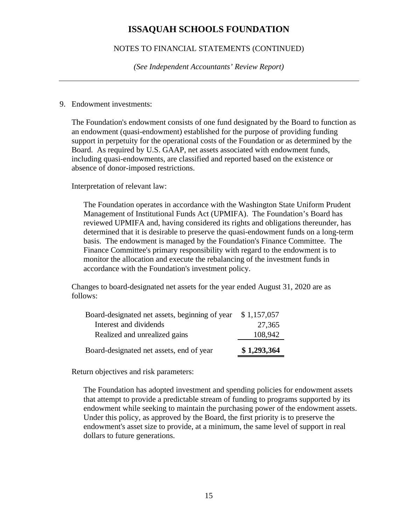#### NOTES TO FINANCIAL STATEMENTS (CONTINUED)

*(See Independent Accountants' Review Report)* 

#### 9. Endowment investments:

The Foundation's endowment consists of one fund designated by the Board to function as an endowment (quasi-endowment) established for the purpose of providing funding support in perpetuity for the operational costs of the Foundation or as determined by the Board. As required by U.S. GAAP, net assets associated with endowment funds, including quasi-endowments, are classified and reported based on the existence or absence of donor-imposed restrictions.

Interpretation of relevant law:

The Foundation operates in accordance with the Washington State Uniform Prudent Management of Institutional Funds Act (UPMIFA). The Foundation's Board has reviewed UPMIFA and, having considered its rights and obligations thereunder, has determined that it is desirable to preserve the quasi-endowment funds on a long-term basis. The endowment is managed by the Foundation's Finance Committee. The Finance Committee's primary responsibility with regard to the endowment is to monitor the allocation and execute the rebalancing of the investment funds in accordance with the Foundation's investment policy.

Changes to board-designated net assets for the year ended August 31, 2020 are as follows:

| Board-designated net assets, end of year       | \$1,293,364 |
|------------------------------------------------|-------------|
| Realized and unrealized gains                  | 108,942     |
| Interest and dividends                         | 27,365      |
| Board-designated net assets, beginning of year | \$1,157,057 |

Return objectives and risk parameters:

The Foundation has adopted investment and spending policies for endowment assets that attempt to provide a predictable stream of funding to programs supported by its endowment while seeking to maintain the purchasing power of the endowment assets. Under this policy, as approved by the Board, the first priority is to preserve the endowment's asset size to provide, at a minimum, the same level of support in real dollars to future generations.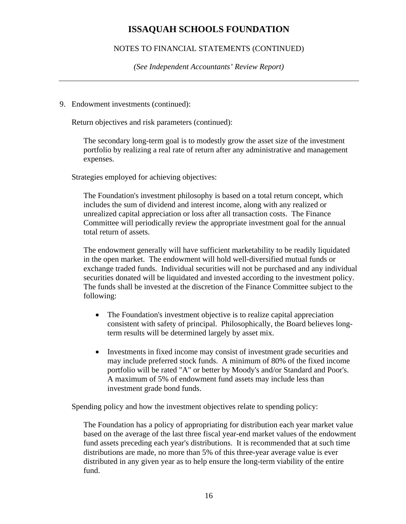#### NOTES TO FINANCIAL STATEMENTS (CONTINUED)

*(See Independent Accountants' Review Report)* 

9. Endowment investments (continued):

Return objectives and risk parameters (continued):

The secondary long-term goal is to modestly grow the asset size of the investment portfolio by realizing a real rate of return after any administrative and management expenses.

Strategies employed for achieving objectives:

The Foundation's investment philosophy is based on a total return concept, which includes the sum of dividend and interest income, along with any realized or unrealized capital appreciation or loss after all transaction costs. The Finance Committee will periodically review the appropriate investment goal for the annual total return of assets.

The endowment generally will have sufficient marketability to be readily liquidated in the open market. The endowment will hold well-diversified mutual funds or exchange traded funds. Individual securities will not be purchased and any individual securities donated will be liquidated and invested according to the investment policy. The funds shall be invested at the discretion of the Finance Committee subject to the following:

- The Foundation's investment objective is to realize capital appreciation consistent with safety of principal. Philosophically, the Board believes longterm results will be determined largely by asset mix.
- Investments in fixed income may consist of investment grade securities and may include preferred stock funds. A minimum of 80% of the fixed income portfolio will be rated "A" or better by Moody's and/or Standard and Poor's. A maximum of 5% of endowment fund assets may include less than investment grade bond funds.

Spending policy and how the investment objectives relate to spending policy:

The Foundation has a policy of appropriating for distribution each year market value based on the average of the last three fiscal year-end market values of the endowment fund assets preceding each year's distributions. It is recommended that at such time distributions are made, no more than 5% of this three-year average value is ever distributed in any given year as to help ensure the long-term viability of the entire fund.